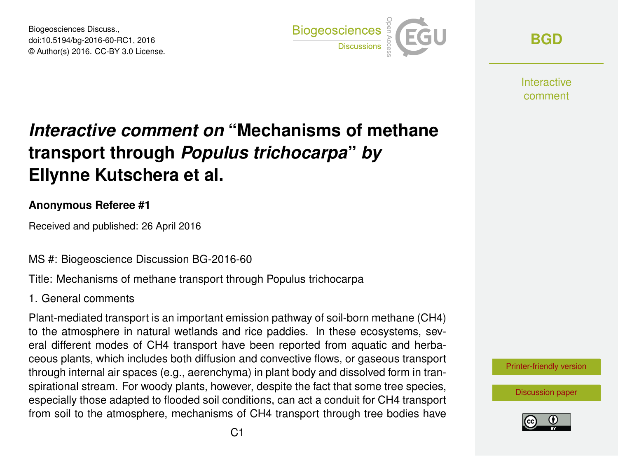Biogeosciences Discuss., doi:10.5194/bg-2016-60-RC1, 2016 © Author(s) 2016. CC-BY 3.0 License.



**[BGD](http://www.biogeosciences-discuss.net/)**

**Interactive** comment

# *Interactive comment on* **"Mechanisms of methane transport through** *Populus trichocarpa***"** *by* **Ellynne Kutschera et al.**

## **Anonymous Referee #1**

Received and published: 26 April 2016

MS #: Biogeoscience Discussion BG-2016-60

Title: Mechanisms of methane transport through Populus trichocarpa

### 1. General comments

Plant-mediated transport is an important emission pathway of soil-born methane (CH4) to the atmosphere in natural wetlands and rice paddies. In these ecosystems, several different modes of CH4 transport have been reported from aquatic and herbaceous plants, which includes both diffusion and convective flows, or gaseous transport through internal air spaces (e.g., aerenchyma) in plant body and dissolved form in transpirational stream. For woody plants, however, despite the fact that some tree species, especially those adapted to flooded soil conditions, can act a conduit for CH4 transport from soil to the atmosphere, mechanisms of CH4 transport through tree bodies have



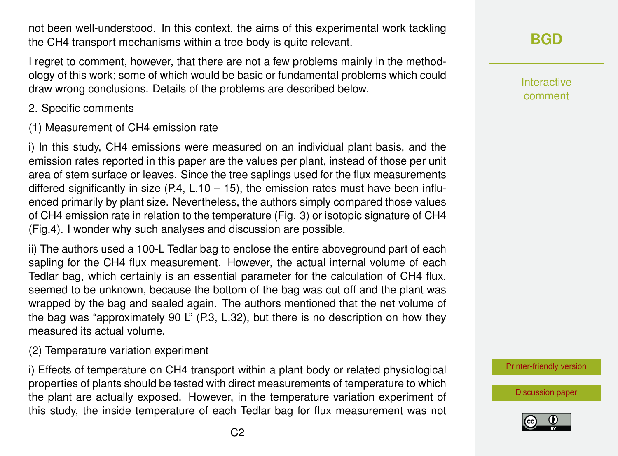not been well-understood. In this context, the aims of this experimental work tackling the CH4 transport mechanisms within a tree body is quite relevant.

I regret to comment, however, that there are not a few problems mainly in the methodology of this work; some of which would be basic or fundamental problems which could draw wrong conclusions. Details of the problems are described below.

- 2. Specific comments
- (1) Measurement of CH4 emission rate

i) In this study, CH4 emissions were measured on an individual plant basis, and the emission rates reported in this paper are the values per plant, instead of those per unit area of stem surface or leaves. Since the tree saplings used for the flux measurements differed significantly in size  $(P.4, L.10 - 15)$ , the emission rates must have been influenced primarily by plant size. Nevertheless, the authors simply compared those values of CH4 emission rate in relation to the temperature (Fig. 3) or isotopic signature of CH4 (Fig.4). I wonder why such analyses and discussion are possible.

ii) The authors used a 100-L Tedlar bag to enclose the entire aboveground part of each sapling for the CH4 flux measurement. However, the actual internal volume of each Tedlar bag, which certainly is an essential parameter for the calculation of CH4 flux, seemed to be unknown, because the bottom of the bag was cut off and the plant was wrapped by the bag and sealed again. The authors mentioned that the net volume of the bag was "approximately 90 L" (P.3, L.32), but there is no description on how they measured its actual volume.

(2) Temperature variation experiment

i) Effects of temperature on CH4 transport within a plant body or related physiological properties of plants should be tested with direct measurements of temperature to which the plant are actually exposed. However, in the temperature variation experiment of this study, the inside temperature of each Tedlar bag for flux measurement was not Interactive comment

[Printer-friendly version](http://www.biogeosciences-discuss.net/bg-2016-60/bg-2016-60-RC1-print.pdf)

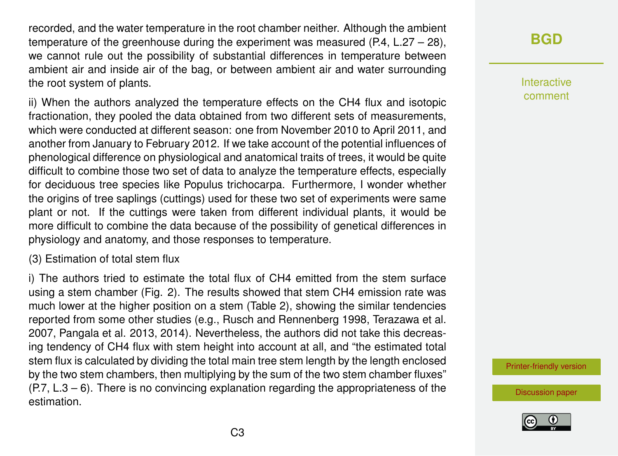recorded, and the water temperature in the root chamber neither. Although the ambient temperature of the greenhouse during the experiment was measured  $(P.4, L.27 - 28)$ , we cannot rule out the possibility of substantial differences in temperature between ambient air and inside air of the bag, or between ambient air and water surrounding the root system of plants.

ii) When the authors analyzed the temperature effects on the CH4 flux and isotopic fractionation, they pooled the data obtained from two different sets of measurements, which were conducted at different season: one from November 2010 to April 2011, and another from January to February 2012. If we take account of the potential influences of phenological difference on physiological and anatomical traits of trees, it would be quite difficult to combine those two set of data to analyze the temperature effects, especially for deciduous tree species like Populus trichocarpa. Furthermore, I wonder whether the origins of tree saplings (cuttings) used for these two set of experiments were same plant or not. If the cuttings were taken from different individual plants, it would be more difficult to combine the data because of the possibility of genetical differences in physiology and anatomy, and those responses to temperature.

#### (3) Estimation of total stem flux

i) The authors tried to estimate the total flux of CH4 emitted from the stem surface using a stem chamber (Fig. 2). The results showed that stem CH4 emission rate was much lower at the higher position on a stem (Table 2), showing the similar tendencies reported from some other studies (e.g., Rusch and Rennenberg 1998, Terazawa et al. 2007, Pangala et al. 2013, 2014). Nevertheless, the authors did not take this decreasing tendency of CH4 flux with stem height into account at all, and "the estimated total stem flux is calculated by dividing the total main tree stem length by the length enclosed by the two stem chambers, then multiplying by the sum of the two stem chamber fluxes"  $(P.7, L.3 - 6)$ . There is no convincing explanation regarding the appropriateness of the estimation.

# **[BGD](http://www.biogeosciences-discuss.net/)**

Interactive comment

[Printer-friendly version](http://www.biogeosciences-discuss.net/bg-2016-60/bg-2016-60-RC1-print.pdf)